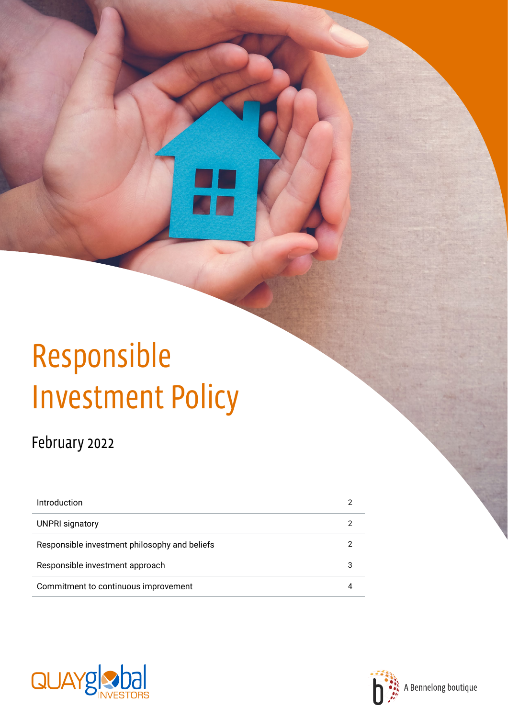# Responsible Investment Policy

# February 2022

| Introduction                                  |  |
|-----------------------------------------------|--|
| <b>UNPRI signatory</b>                        |  |
| Responsible investment philosophy and beliefs |  |
| Responsible investment approach               |  |
| Commitment to continuous improvement          |  |



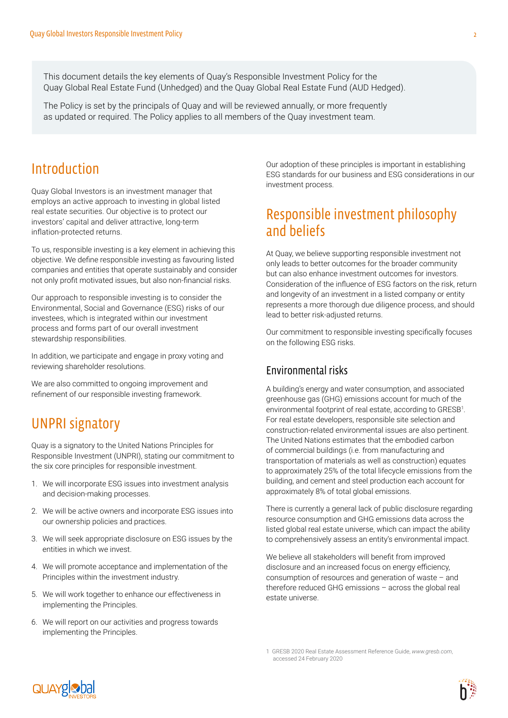This document details the key elements of Quay's Responsible Investment Policy for the Quay Global Real Estate Fund (Unhedged) and the Quay Global Real Estate Fund (AUD Hedged).

The Policy is set by the principals of Quay and will be reviewed annually, or more frequently as updated or required. The Policy applies to all members of the Quay investment team.

### <span id="page-1-0"></span>Introduction

Quay Global Investors is an investment manager that employs an active approach to investing in global listed real estate securities. Our objective is to protect our investors' capital and deliver attractive, long-term inflation-protected returns.

To us, responsible investing is a key element in achieving this objective. We define responsible investing as favouring listed companies and entities that operate sustainably and consider not only profit motivated issues, but also non-financial risks.

Our approach to responsible investing is to consider the Environmental, Social and Governance (ESG) risks of our investees, which is integrated within our investment process and forms part of our overall investment stewardship responsibilities.

In addition, we participate and engage in proxy voting and reviewing shareholder resolutions.

We are also committed to ongoing improvement and refinement of our responsible investing framework.

## <span id="page-1-1"></span>UNPRI signatory

Quay is a signatory to the United Nations Principles for Responsible Investment (UNPRI), stating our commitment to the six core principles for responsible investment.

- 1. We will incorporate ESG issues into investment analysis and decision-making processes.
- 2. We will be active owners and incorporate ESG issues into our ownership policies and practices.
- 3. We will seek appropriate disclosure on ESG issues by the entities in which we invest.
- 4. We will promote acceptance and implementation of the Principles within the investment industry.
- 5. We will work together to enhance our effectiveness in implementing the Principles.
- 6. We will report on our activities and progress towards implementing the Principles.

Our adoption of these principles is important in establishing ESG standards for our business and ESG considerations in our investment process.

## <span id="page-1-2"></span>Responsible investment philosophy and beliefs

At Quay, we believe supporting responsible investment not only leads to better outcomes for the broader community but can also enhance investment outcomes for investors. Consideration of the influence of ESG factors on the risk, return and longevity of an investment in a listed company or entity represents a more thorough due diligence process, and should lead to better risk-adjusted returns.

Our commitment to responsible investing specifically focuses on the following ESG risks.

#### Environmental risks

A building's energy and water consumption, and associated greenhouse gas (GHG) emissions account for much of the environmental footprint of real estate, according to GRESB<sup>1</sup>. For real estate developers, responsible site selection and construction-related environmental issues are also pertinent. The United Nations estimates that the embodied carbon of commercial buildings (i.e. from manufacturing and transportation of materials as well as construction) equates to approximately 25% of the total lifecycle emissions from the building, and cement and steel production each account for approximately 8% of total global emissions.

There is currently a general lack of public disclosure regarding resource consumption and GHG emissions data across the listed global real estate universe, which can impact the ability to comprehensively assess an entity's environmental impact.

We believe all stakeholders will benefit from improved disclosure and an increased focus on energy efficiency, consumption of resources and generation of waste – and therefore reduced GHG emissions – across the global real estate universe.

1 GRESB 2020 Real Estate Assessment Reference Guide, *[www.gresb.com](https://gresb.com/resources/2020-real-estate-assessment-reference-guide/)*, accessed 24 February 2020



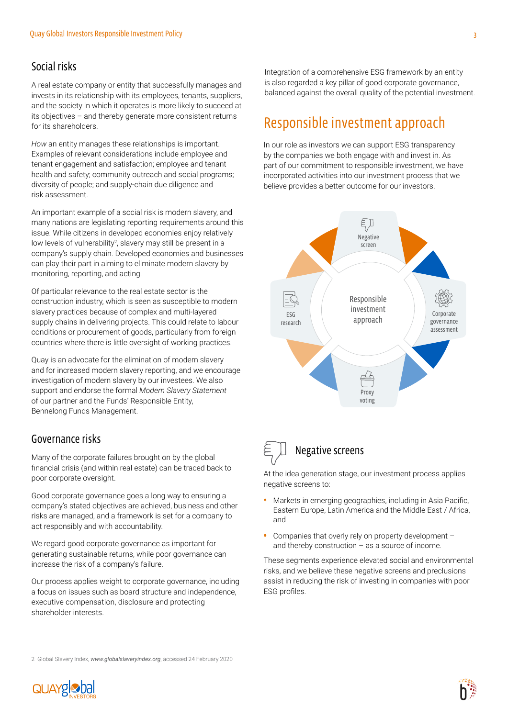#### Social risks

A real estate company or entity that successfully manages and invests in its relationship with its employees, tenants, suppliers, and the society in which it operates is more likely to succeed at its objectives – and thereby generate more consistent returns for its shareholders.

*How* an entity manages these relationships is important. Examples of relevant considerations include employee and tenant engagement and satisfaction; employee and tenant health and safety; community outreach and social programs; diversity of people; and supply-chain due diligence and risk assessment.

An important example of a social risk is modern slavery, and many nations are legislating reporting requirements around this issue. While citizens in developed economies enjoy relatively low levels of vulnerability<sup>2</sup>, slavery may still be present in a company's supply chain. Developed economies and businesses can play their part in aiming to eliminate modern slavery by monitoring, reporting, and acting.

Of particular relevance to the real estate sector is the construction industry, which is seen as susceptible to modern slavery practices because of complex and multi-layered supply chains in delivering projects. This could relate to labour conditions or procurement of goods, particularly from foreign countries where there is little oversight of working practices.

Quay is an advocate for the elimination of modern slavery and for increased modern slavery reporting, and we encourage investigation of modern slavery by our investees. We also support and endorse the formal *[Modern Slavery Statement](https://www.bennelongfunds.com/modern-slavery)* of our partner and the Funds' Responsible Entity, Bennelong Funds Management.

#### Governance risks

Many of the corporate failures brought on by the global financial crisis (and within real estate) can be traced back to poor corporate oversight.

Good corporate governance goes a long way to ensuring a company's stated objectives are achieved, business and other risks are managed, and a framework is set for a company to act responsibly and with accountability.

We regard good corporate governance as important for generating sustainable returns, while poor governance can increase the risk of a company's failure.

Our process applies weight to corporate governance, including a focus on issues such as board structure and independence, executive compensation, disclosure and protecting shareholder interests.

Integration of a comprehensive ESG framework by an entity is also regarded a key pillar of good corporate governance, balanced against the overall quality of the potential investment.

# <span id="page-2-0"></span>Responsible investment approach

In our role as investors we can support ESG transparency by the companies we both engage with and invest in. As part of our commitment to responsible investment, we have incorporated activities into our investment process that we believe provides a better outcome for our investors.



# Negative screens

At the idea generation stage, our investment process applies negative screens to:

- Markets in emerging geographies, including in Asia Pacific, Eastern Europe, Latin America and the Middle East / Africa, and
- Companies that overly rely on property development and thereby construction – as a source of income.

These segments experience elevated social and environmental risks, and we believe these negative screens and preclusions assist in reducing the risk of investing in companies with poor ESG profiles.

2 Global Slavery Index, *[www.globalslaveryindex.org](https://www.globalslaveryindex.org/)*, accessed 24 February 2020

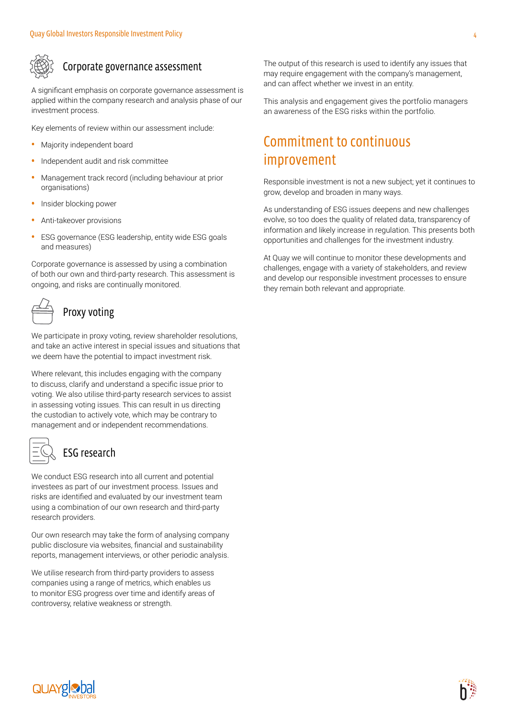

#### Corporate governance assessment

A significant emphasis on corporate governance assessment is applied within the company research and analysis phase of our investment process.

Key elements of review within our assessment include:

- Majority independent board
- Independent audit and risk committee
- Management track record (including behaviour at prior organisations)
- Insider blocking power
- Anti-takeover provisions
- ESG governance (ESG leadership, entity wide ESG goals and measures)

Corporate governance is assessed by using a combination of both our own and third-party research. This assessment is ongoing, and risks are continually monitored.

# Proxy voting

We participate in proxy voting, review shareholder resolutions, and take an active interest in special issues and situations that we deem have the potential to impact investment risk.

Where relevant, this includes engaging with the company to discuss, clarify and understand a specific issue prior to voting. We also utilise third-party research services to assist in assessing voting issues. This can result in us directing the custodian to actively vote, which may be contrary to management and or independent recommendations.

| - |
|---|
| _ |

#### ESG research

We conduct ESG research into all current and potential investees as part of our investment process. Issues and risks are identified and evaluated by our investment team using a combination of our own research and third-party research providers.

Our own research may take the form of analysing company public disclosure via websites, financial and sustainability reports, management interviews, or other periodic analysis.

We utilise research from third-party providers to assess companies using a range of metrics, which enables us to monitor ESG progress over time and identify areas of controversy, relative weakness or strength.

The output of this research is used to identify any issues that may require engagement with the company's management, and can affect whether we invest in an entity.

This analysis and engagement gives the portfolio managers an awareness of the ESG risks within the portfolio.

# <span id="page-3-0"></span>Commitment to continuous improvement

Responsible investment is not a new subject; yet it continues to grow, develop and broaden in many ways.

As understanding of ESG issues deepens and new challenges evolve, so too does the quality of related data, transparency of information and likely increase in regulation. This presents both opportunities and challenges for the investment industry.

At Quay we will continue to monitor these developments and challenges, engage with a variety of stakeholders, and review and develop our responsible investment processes to ensure they remain both relevant and appropriate.